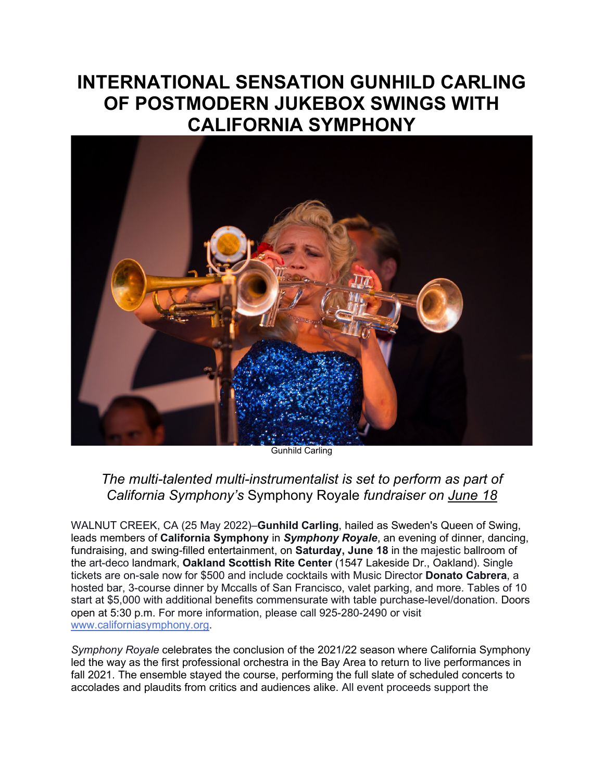## **INTERNATIONAL SENSATION GUNHILD CARLING OF POSTMODERN JUKEBOX SWINGS WITH CALIFORNIA SYMPHONY**



Gunhild Carling

## *The multi-talented multi-instrumentalist is set to perform as part of California Symphony's* Symphony Royale *fundraiser on June 18*

WALNUT CREEK, CA (25 May 2022)–**Gunhild Carling**, hailed as Sweden's Queen of Swing, leads members of **California Symphony** in *Symphony Royale*, an evening of dinner, dancing, fundraising, and swing-filled entertainment, on **Saturday, June 18** in the majestic ballroom of the art-deco landmark, **Oakland Scottish Rite Center** (1547 Lakeside Dr., Oakland). Single tickets are on-sale now for \$500 and include cocktails with Music Director **Donato Cabrera**, a hosted bar, 3-course dinner by Mccalls of San Francisco, valet parking, and more. Tables of 10 start at \$5,000 with additional benefits commensurate with table purchase-level/donation. Doors open at 5:30 p.m. For more information, please call 925-280-2490 or visit [www.californiasymphony.org.](http://www.californiasymphony.org/)

*Symphony Royale* celebrates the conclusion of the 2021/22 season where California Symphony led the way as the first professional orchestra in the Bay Area to return to live performances in fall 2021. The ensemble stayed the course, performing the full slate of scheduled concerts to accolades and plaudits from critics and audiences alike. All event proceeds support the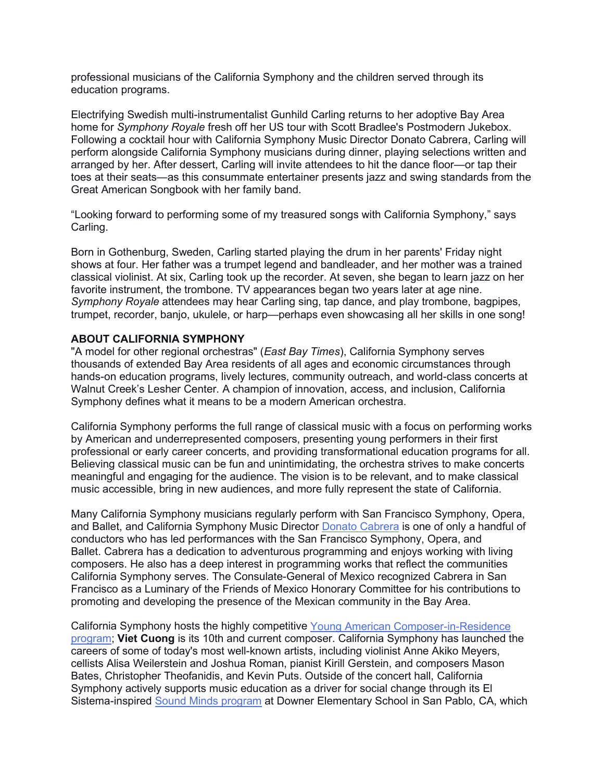professional musicians of the California Symphony and the children served through its education programs.

Electrifying Swedish multi-instrumentalist Gunhild Carling returns to her adoptive Bay Area home for *Symphony Royale* fresh off her US tour with Scott Bradlee's Postmodern Jukebox. Following a cocktail hour with California Symphony Music Director Donato Cabrera, Carling will perform alongside California Symphony musicians during dinner, playing selections written and arranged by her. After dessert, Carling will invite attendees to hit the dance floor—or tap their toes at their seats—as this consummate entertainer presents jazz and swing standards from the Great American Songbook with her family band.

"Looking forward to performing some of my treasured songs with California Symphony," says Carling.

Born in Gothenburg, Sweden, Carling started playing the drum in her parents' Friday night shows at four. Her father was a trumpet legend and bandleader, and her mother was a trained classical violinist. At six, Carling took up the recorder. At seven, she began to learn jazz on her favorite instrument, the trombone. TV appearances began two years later at age nine. *Symphony Royale* attendees may hear Carling sing, tap dance, and play trombone, bagpipes, trumpet, recorder, banjo, ukulele, or harp—perhaps even showcasing all her skills in one song!

## **ABOUT CALIFORNIA SYMPHONY**

"A model for other regional orchestras" (*East Bay Times*), California Symphony serves thousands of extended Bay Area residents of all ages and economic circumstances through hands-on education programs, lively lectures, community outreach, and world-class concerts at Walnut Creek's Lesher Center. A champion of innovation, access, and inclusion, California Symphony defines what it means to be a modern American orchestra.

California Symphony performs the full range of classical music with a focus on performing works by American and underrepresented composers, presenting young performers in their first professional or early career concerts, and providing transformational education programs for all. Believing classical music can be fun and unintimidating, the orchestra strives to make concerts meaningful and engaging for the audience. The vision is to be relevant, and to make classical music accessible, bring in new audiences, and more fully represent the state of California.

Many California Symphony musicians regularly perform with San Francisco Symphony, Opera, and Ballet, and California Symphony Music Director [Donato Cabrera](http://www.donatocabrera.com/) is one of only a handful of conductors who has led performances with the San Francisco Symphony, Opera, and Ballet. Cabrera has a dedication to adventurous programming and enjoys working with living composers. He also has a deep interest in programming works that reflect the communities California Symphony serves. The Consulate-General of Mexico recognized Cabrera in San Francisco as a Luminary of the Friends of Mexico Honorary Committee for his contributions to promoting and developing the presence of the Mexican community in the Bay Area.

California Symphony hosts the highly competitive [Young American Composer-in-Residence](http://www.californiasymphony.org/young-american-composer-in-residence)  [program;](http://www.californiasymphony.org/young-american-composer-in-residence) **Viet Cuong** is its 10th and current composer. California Symphony has launched the careers of some of today's most well-known artists, including violinist Anne Akiko Meyers, cellists Alisa Weilerstein and Joshua Roman, pianist Kirill Gerstein, and composers Mason Bates, Christopher Theofanidis, and Kevin Puts. Outside of the concert hall, California Symphony actively supports music education as a driver for social change through its El Sistema-inspired [Sound Minds program](http://www.californiasymphony.org/sound-minds) at Downer Elementary School in San Pablo, CA, which